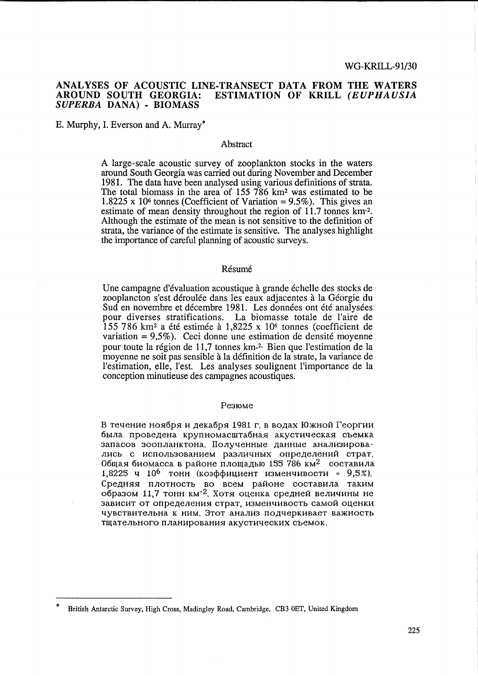#### ANALYSES OF ACOUSTIC LINE-TRANSECT DATA FROM THE WATERS AROUND SOUTH GEORGIA: ESTIMATION OF KRILL (EUPHAUSIA SUPERBA DANA) - BIOMASS

E. Murphy, I. Everson and A. Murray\*

#### Abstract

A large-scale acoustic survey of zooplankton stocks in the waters around South Georgia was carried out during November and December 1981. The data have been analysed using various definitions of strata. The total biomass in the area of 155 786 km<sup>2</sup> was estimated to be  $1.8225 \times 10^6$  tonnes (Coefficient of Variation = 9.5%). This gives an estimate of mean density throughout the region of 11.7 tonnes km<sup>-2</sup>. Although the estimate of the mean is not sensitive to the definition of strata, the variance of the estimate is sensitive. The analyses highlight the importance of careful planning of acoustic surveys.

## Résumé

Une campagne d'évaluation acoustique à grande échelle des stocks de zooplancton s'est déroulée dans les eaux adjacentes à la Géorgie du Sud en novembre et décembre 1981. Les données ont été analysées pour diverses stratifications. La biomasse totale de l'aire de  $155$  786 km<sup>2</sup> a été estimée à 1,8225 x 10<sup>6</sup> tonnes (coefficient de variation =  $9,5\%$ ). Ceci donne une estimation de densité moyenne pour toute la région de 11,7 tonnes km<sup>-2.</sup> Bien que l'estimation de la moyenne ne soit pas sensible à la définition de la strate, la variance de l'estimation, elle, l'est. Les analyses soulignent l'importance de la conception minutieuse des campagnes acoustiques.

#### Резюме

В течение ноября и декабря 1981 г. в водах Южной Георгии была проведена крупномасштабная акустическая съемка запасов зоопланктона. Полученные данные анализировались с использованием различных определений страт. Общая биомасса в районе площадью 155 786 км<sup>2</sup> составила 1,8225 ч 10<sup>6</sup> тонн (коэффициент изменчивости = 9,5%). Средняя плотность во всем районе составила таким образом 11,7 тонн км<sup>-2</sup>. Хотя оценка средней величины не зависит от определения страт, изменчивость самой оценки чувствительна к ним. Этот анализ подчеркивает важность тщательного планирования акустических съемок.

British Antarctic Survey, High Cross, Madingley Road, Cambridge, CB3 0ET, United Kingdom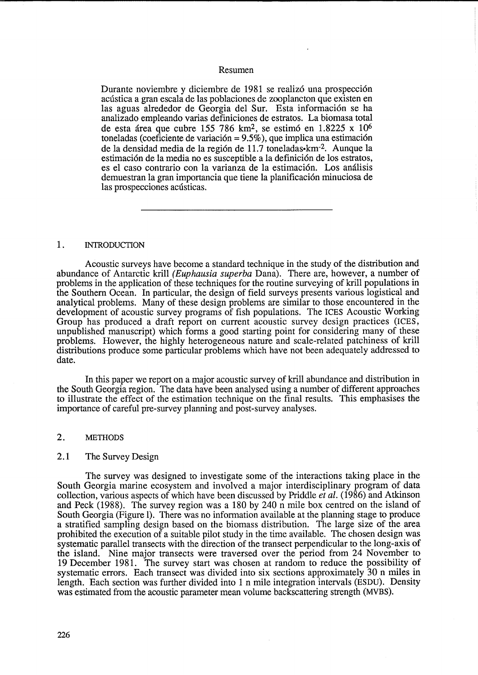#### Resumen

Durante noviembre y diciembre de 1981 se realizó una prospección acústica a gran escala de las poblaciones de zooplancton que existen en las aguas alrededor de Georgia del Sur. Esta información se ha analizado empleando varias definiciones de estratos. La biomasa total de esta área que cubre 155 786 km<sup>2</sup>, se estimó en 1.8225 x 10<sup>6</sup> toneladas (coeficiente de variación =  $9.5\%$ ), que implica una estimación de la densidad media de la región de 11.7 toneladas• km<sup>-2</sup>. Aunque la estimación de la media no es susceptible a la definición de los estratos, es el caso contrario con la varianza de la estimacion. Los analisis demuestran la gran importancia que tiene la planificacion minuciosa de las prospecciones acústicas.

# 1. INTRODUCTION

Acoustic surveys have become a standard technique in the study of the distribution and abundance of Antarctic krill (Euphausia superba Dana). There are, however, a number of problems in the application of these techniques for the routine surveying of krill populations in the Southern Ocean. In particular, the design of field surveys presents various logistical and analytical problems. Many of these design problems are similar to those encountered in the development of acoustic survey programs of fish populations. The ICES Acoustic Working Group has produced a draft report on current acoustic survey design practices (ICES, unpublished manuscript) which forms a good starting point for considering many of these problems. However, the highly heterogeneous nature and scale-related patchiness of krill distributions produce some particular problems which have not been adequately addressed to date.

In this paper we report on a major acoustic survey of krill abundance and distribution in the South Georgia region. The data have been analysed using a number of different approaches to illustrate the effect of the estimation technique on the final results. This emphasises the importance of careful pre-survey planning and post-survey analyses.

## 2. METHODS

#### 2.1 The Survey Design

The survey was designed to investigate some of the interactions taking place in the South Georgia marine ecosystem and involved a major interdisciplinary program of data collection, various aspects of which have been discussed by Priddle *et al.* (1986) and Atkinson and Peck (1988). The survey region was a 180 by 240 n mile box centred on the island of South Georgia (Figure 1). There was no information available at the planning stage to produce a stratified sampling design based on the biomass distribution. The large size of the area prohibited the execution of a suitable pilot study in the time available. The chosen design was systematic parallel transects with the direction of the transect perpendicular to the long-axis of the island. Nine major transects were traversed over the period from 24 November to 19 December 1981. The survey start was chosen at random to reduce the possibility of systematic errors. Each transect was divided into six sections approximately 30 n miles in length. Each section was further divided into 1 n mile integration intervals (ESDU). Density was estimated from the acoustic parameter mean volume backscattering strength (MVBS).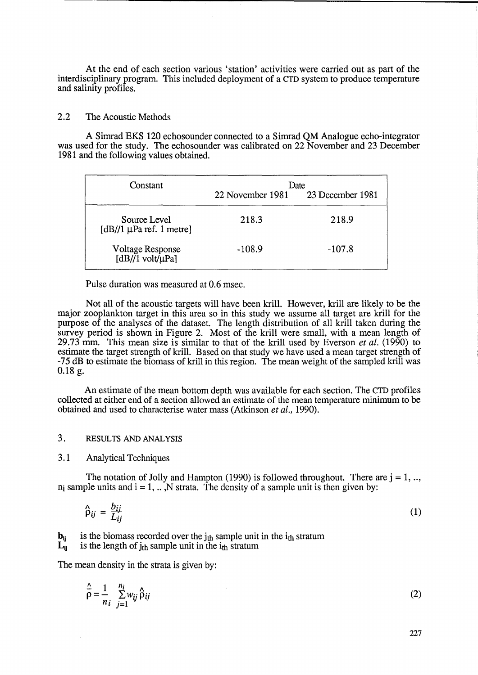At the end of each section various 'station' activities were carried out as part of the interdisciplinary program. This included deployment of a CTD system to produce temperature and salinity profiles.

# 2.2 The Acoustic Methods

A Simrad EKS 120 echosounder connected to a Simrad QM Analogue echo-integrator was used for the study. The echosounder was calibrated on 22 November and 23 December 1981 and the following values obtained.

| Constant                                      | Date             |                  |  |  |  |
|-----------------------------------------------|------------------|------------------|--|--|--|
|                                               | 22 November 1981 | 23 December 1981 |  |  |  |
| Source Level<br>[dB//1 $\mu$ Pa ref. 1 metre] | 218.3            | 218.9            |  |  |  |
| Voltage Response<br>$[dB]/1$ volt/ $\mu$ Pa]  | $-108.9$         | $-107.8$         |  |  |  |

Pulse duration was measured at 0.6 msec.

Not all of the acoustic targets will have been krill. However, krill are likely to be the major zooplankton target in this area so in this study we assume all target are krill for the purpose of the analyses of the dataset. The length distribution of all krill taken during the survey period is shown in Figure 2. Most of the krill were small, with a mean length of 29.73 mm. This mean size is similar to that of the krill used by Everson *et al.* (1990) to estimate the target strength of krill. Based on that study we have used a mean target strength of -75 dB to estimate the biomass of krill in this region. The mean weight of the sampled krill was 0.18 g.

An estimate of the mean bottom depth was available for each section. The CTD profiles collected at either end of a section allowed an estimate of the mean temperature minimum to be obtained and used to characterise water mass (Atkinson *et al., 1990).* 

## 3. RESULTS AND ANALYSIS

## 3.1 Analytical Techniques

The notation of Jolly and Hampton (1990) is followed throughout. There are  $j = 1, \ldots$  $n_i$  sample units and  $i = 1, ...$  N strata. The density of a sample unit is then given by:

$$
\hat{\rho}_{ij} = \frac{b_{ij}}{L_{ij}} \tag{1}
$$

 $\mathbf{b}_{ij}$  is the biomass recorded over the j<sub>th</sub> sample unit in the i<sub>th</sub> stratum  $\mathbf{L}_{ii}$  is the length of  $i_{th}$  sample unit in the  $i_{th}$  stratum is the length of  $j<sub>th</sub>$  sample unit in the  $i<sub>th</sub>$  stratum

The mean density in the strata is given by:

$$
\hat{\overline{\rho}} = \frac{1}{n_i} \sum_{j=1}^{n_i} w_{ij} \hat{\rho}_{ij}
$$
 (2)

227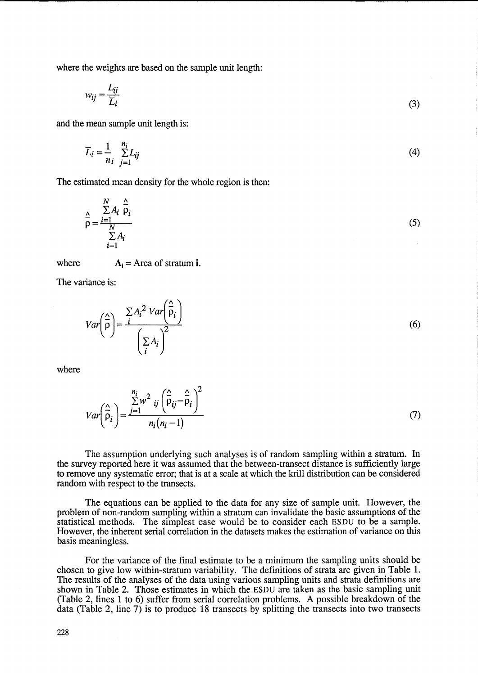where the weights are based on the sample unit length:

$$
w_{ij} = \frac{L_{ij}}{\overline{L}_i} \tag{3}
$$

and the mean sample unit length is:

$$
\overline{L}_i = \frac{1}{n_i} \sum_{j=1}^{n_i} L_{ij}
$$
 (4)

The estimated mean density for the whole region is then:

$$
\frac{\Delta}{\rho} = \frac{\sum_{i=1}^{N} A_i \frac{\Delta}{\rho_i}}{\sum_{i=1}^{N} A_i}
$$
\n(5)

where  $A_i$  = Area of stratum i.

 $\lambda$ 

The variance is:

$$
Var\left(\frac{\hat{\rho}}{\rho}\right) = \frac{\sum A_i^2 Var\left(\frac{\hat{\rho}}{\rho_i}\right)}{\left(\sum_i A_i\right)^2}
$$
\n(6)

where

$$
Var\left(\hat{\overline{p}}_i\right) = \frac{\sum_{j=1}^{n_i} w^2_{ij} \left(\hat{\overline{p}}_{ij} - \hat{\overline{p}}_i\right)^2}{n_i (n_i - 1)}
$$
(7)

The assumption underlying such analyses is of random sampling within a stratum. In the survey reported here it was assumed that the between-transect distance is sufficiently large to remove any systematic error; that is at a scale at which the krill distribution can be considered random with respect to the transects.

The equations can be applied to the data for any size of sample unit. However, the problem of non-random sampling within a stratum can invalidate the basic assumptions of the statistical methods. The simplest case would be to consider each ESDU to be a sample. However, the inherent serial correlation in the datasets makes the estimation of variance on this basis meaningless.

For the variance of the final estimate to be a minimum the sampling units should be chosen to give low within-stratum variability. The definitions of strata are given in Table 1. The results of the analyses of the data using various sampling units and strata definitions are shown in Table 2. Those estimates in which the ESDU are taken as the basic sampling unit (Table 2, lines 1 to 6) suffer from serial correlation problems. A possible breakdown of the data (Table 2, line 7) is to produce 18 transects by splitting the transects into two transects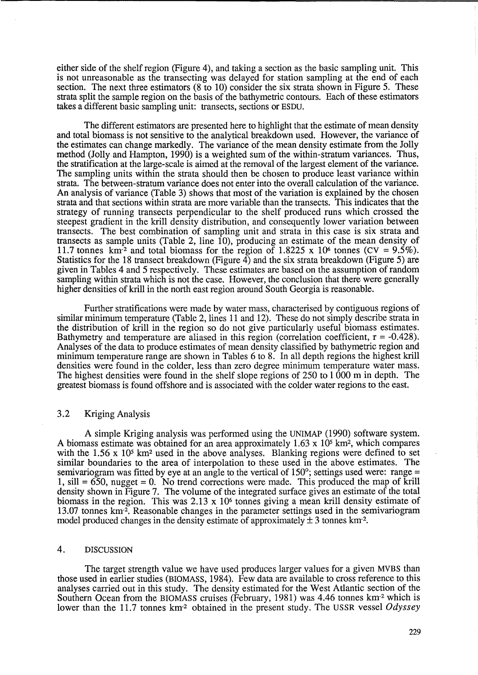either side of the shelf region (Figure 4), and taking a section as the basic sampling unit. This is not unreasonable as the transecting was delayed for station sampling at the end of each section. The next three estimators (8 to 10) consider the six strata shown in Figure 5. These strata split the sample region on the basis of the bathymetric contours. Each of these estimators takes a different basic sampling unit: transects, sections or ESDU.

The different estimators are presented here to highlight that the estimate of mean density and total biomass is not sensitive to the analytical breakdown used. However, the variance of the estimates can change markedly. The variance of the mean density estimate from the Jolly method (Jolly and Hampton, 1990) is a weighted sum of the within-stratum variances. Thus, the stratification at the large-scale is aimed at the removal of the largest element of the variance. The sampling units within the strata should then be chosen to produce least variance within strata. The between-stratum variance does not enter into the overall calculation of the variance. An analysis of variance (Table 3) shows that most of the variation is explained by the chosen strata and that sections within strata are more variable than the transects. This indicates that the strategy of running transects perpendicular to the shelf produced runs which crossed the steepest gradient in the krill density distribution, and consequently lower variation between transects. The best combination of sampling unit and strata in this case is six strata and transects as sample units (Table 2, line 10), producing an estimate of the mean density of 11.7 tonnes km<sup>-2</sup> and total biomass for the region of 1.8225 x 10<sup>6</sup> tonnes (CV =  $9.5\%$ ). Statistics for the 18 transect breakdown (Figure 4) and the six strata breakdown (Figure 5) are given in Tables 4 and 5 respectively. These estimates are based on the assumption of random sampling within strata which is not the case. However, the conclusion that there were generally higher densities of krill in the north east region around South Georgia is reasonable.

Further stratifications were made by water mass, characterised by contiguous regions of similar minimum temperature (Table 2, lines 11 and 12). These do not simply describe strata in the distribution of krill in the region so do not give particularly useful biomass estimates. Bathymetry and temperature are aliased in this region (correlation coefficient,  $r = -0.428$ ). Analyses of the data to produce estimates of mean density classified by bathymetric region and minimum temperature range are shown in Tables 6 to 8. In all depth regions the highest krill densities were found in the colder, less than zero degree minimum temperature water mass. The highest densities were found in the shelf slope regions of 250 to 1 000 m in depth. The greatest biomass is found offshore and is associated with the colder water regions to the east.

## 3.2 Kriging Analysis

A simple Kriging analysis was performed using the UNIMAP (1990) software system. A biomass estimate was obtained for an area approximately  $1.63 \times 10^5$  km<sup>2</sup>, which compares with the 1.56 x 10<sup>5</sup> km<sup>2</sup> used in the above analyses. Blanking regions were defined to set similar boundaries to the area of interpolation to these used in the above estimates. The semivariogram was fitted by eye at an angle to the vertical of 150°; settings used were: range =  $1, \text{ sill} = 650$ , nugget  $= 0$ . No trend corrections were made. This produced the map of krill density shown in Figure 7. The volume of the integrated surface gives an estimate of the total biomass in the region. This was  $2.13 \times 10^6$  tonnes giving a mean krill density estimate of 13.07 tonnes km-2. Reasonable changes in the parameter settings used in the semivariogram model produced changes in the density estimate of approximately  $\pm 3$  tonnes km<sup>-2</sup>.

## 4. DISCUSSION

The target strength value we have used produces larger values for a given MVBS than those used in earlier studies (BIOMASS, 1984). Few data are available to cross reference to this analyses carried out in this study. The density estimated for the West Atlantic section of the Southern Ocean from the BIOMASS cruises (February, 1981) was 4.46 tonnes km<sup>-2</sup> which is lower than the 11.7 tonnes km<sup>-2</sup> obtained in the present study. The USSR vessel *Odyssey*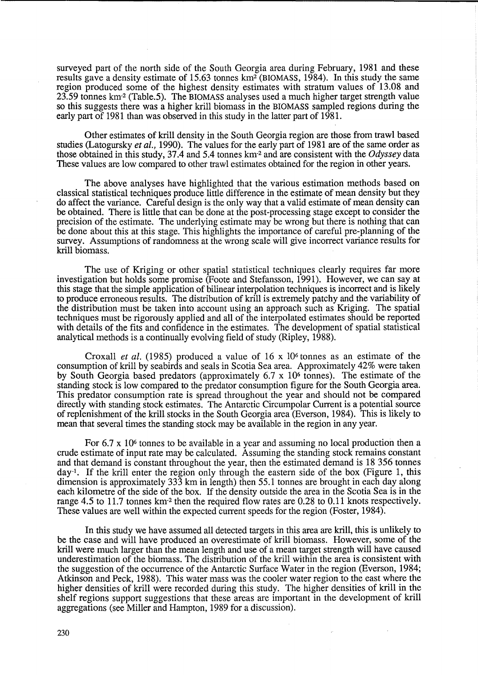surveyed part of the north side of the South Georgia area during February, 1981 and these results gave a density estimate of 15.63 tonnes *kmz* (BIOMASS, 1984). In this study the same region produced some of the highest density estimates with stratum values of 13.08 and 23.59 tonnes *km-z* (Table.5). The BIOMASS analyses used a much higher target strength value so this suggests there was a higher krill biomass in the BIOMASS sampled regions during the early part of 1981 than was observed in this study in the latter part of 1981.

Other estimates of krill density in the South Georgia region are those from trawl based studies (Latogursky *et al.,* 1990). The values for the early part of 1981 are of the same order as those obtained in this study, 37.4 and 5.4 tonnes km<sup>-2</sup> and are consistent with the *Odyssey* data These values are low compared to other trawl estimates obtained for the region in other years.

The above analyses have highlighted that the various estimation methods based on classical statistical techniques produce little difference in the estimate of mean density but they do affect the variance. Careful design is the only way that a valid estimate of mean density can be obtained. There is little that can be done at the post-processing stage except to consider the precision of the estimate. The underlying estimate may be wrong but there is nothing that can be done about this at this stage. This highlights the importance of careful pre-planning of the survey. Assumptions of randomness at the wrong scale will give incorrect variance results for krill biomass.

The use of Kriging or other spatial statistical techniques clearly requires far more investigation but holds some promise (Foote and Stefansson, 1991). However, we can say at this stage that the simple application of bilinear interpolation techniques is incorrect and is likely to produce erroneous results. The distribution of krill is extremely patchy and the variability of the distribution must be taken into account using an approach such as Kriging. The spatial techniques must be rigorously applied and all of the interpolated estimates should be reported with details of the fits and confidence in the estimates. The development of spatial statistical analytical methods is a continually evolving field of study (Ripley, 1988).

Croxall *et al.* (1985) produced a value of 16 x 106 tonnes as an estimate of the consumption of krill by seabirds and seals in Scotia Sea area. Approximately 42% were taken by South Georgia based predators (approximately 6.7 x 106 tonnes). The estimate of the standing stock is low compared to the predator consumption figure for the South Georgia area. This predator consumption rate is spread throughout the year and should not be compared directly with standing stock estimates. The Antarctic Circumpolar Current is a potential source of replenishment of the krill stocks in the South Georgia area (Everson, 1984). This is likely to mean that several times the standing stock may be available in the region in any year.

For  $6.7 \times 10^6$  tonnes to be available in a year and assuming no local production then a crude estimate of input rate may be calculated. Assuming the standing stock remains constant and that demand is constant throughout the year, then the estimated demand is 18356 tonnes day-l. If the krill enter the region only through the eastern side of the box (Figure 1, this dimension is approximately 333 km in length) then 55.1 tonnes are brought in each day along each kilometre of the side of the box. If the density outside the area in the Scotia Sea is in the range 4.5 to 11.7 tonnes km<sup>-2</sup> then the required flow rates are 0.28 to 0.11 knots respectively. These values are well within the expected current speeds for the region (Foster, 1984).

In this study we have assumed all detected targets in this area are krill, this is unlikely to be the case and will have produced an overestimate of krill biomass. However, some of the krill were much larger than the mean length and use of a mean target strength will have caused underestimation of the biomass. The distribution of the krill within the area is consistent with the suggestion of the occurrence of the Antarctic Surface Water in the region (Everson, 1984; Atkinson and Peck, 1988). This water mass was the cooler water region to the east where the higher densities of krill were recorded during this study. The higher densities of krill in the shelf regions support suggestions that these areas are important in the development of krill aggregations (see Miller and Hampton, 1989 for a discussion).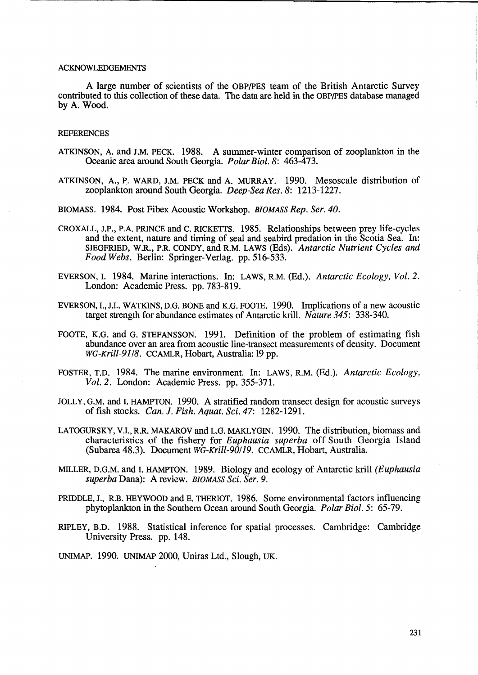#### ACKNOWLEDGEMENTS

A large number of scientists of the OBP/pES team of the British Antarctic Survey contributed to this collection of these data. The data are held in the OBP/pES database managed by A. Wood.

#### **REFERENCES**

- ATKINSON, A. and J.M. PECK. 1988. A summer-winter comparison of zooplankton in the Oceanic area around South Georgia. *Polar Bioi.* 8: 463-473.
- ATKINSON, A., P. WARD, J.M. PECK and A. MURRAY. 1990. Mesoscale distribution of zooplankton around South Georgia. *Deep-Sea Res.* 8: 1213-1227.

BIOMASS. 1984. Post Fibex Acoustic Workshop. *BIOMASS Rep. Ser. 40.* 

- CROXALL, J.P., P.A. PRINCE and C. RICKETTS. 1985. Relationships between prey life-cycles and the extent, nature and timing of seal and seabird predation in the Scotia Sea. In: SIEGFRIED, W.R., P.R. CONDY, and R.M. LAWS (Eds). Antarctic Nutrient Cycles and *Food Webs.* Berlin: Springer-Verlag. pp. 516-533.
- EVERSON,1. 1984. Marine interactions. In: LAWS, R.M. (Ed.). *Antarctic Ecology, Vol. 2.*  London: Academic Press. pp. 783-819.
- EVERSON, 1., J.L. WATKINS, D.G. BONE and K.G. FOOTE. 1990. Implications of a new acoustic target strength for abundance estimates of Antarctic krill. *Nature* 345: 338-340.
- FOOTE, K.G. and G. STEFANSSON: 1991. Definition of the problem of estimating fish abundance over an area from acoustic line-transect measurements of density. Document *WG-Krill-91/8.* CCAMLR, Hobart, Australia: **19** pp.
- FOSTER, T.D. 1984. The marine environment. In: LAWS, R.M. (Ed.). *Antarctic Ecology, Vol.* 2. London: Academic Press. pp. 355-371.
- JOLLY, G.M. and 1. HAMPTON. 1990. A stratified random transect design for acoustic surveys of fish stocks. *Can.* J. *Fish. Aquat. Sci.* 47: 1282-1291.
- LATOGURSKY, V.I., R.R. MAKAROV and L.G. MAKLYGIN. 1990. The distribution, biomass and characteristics of the fishery for *Euphausia superba* off South Georgia Island (Subarea 48.3). Document *WG-Krill-90/J9.* CCAMLR, Hobart, Australia.
- MILLER, D.G.M. and 1. HAMPTON. 1989. Biology and ecology of Antarctic krill *(Euphausia superba* Dana): A review. *BIOMASS Sci. Ser. 9.*
- PRIDDLE, J., RB. HEYWOOD and E. THERIOT. 1986. Some environmental factors influencing phytoplankton in the Southern Ocean around South Georgia. *Polar Bioi.* 5: 65-79.
- RIPLEY, B.D. 1988. Statistical inference for spatial processes. Cambridge: Cambridge University Press. pp. 148.

UNIMAP. 1990. UNlMAP 2000, Uniras Ltd., Slough, UK.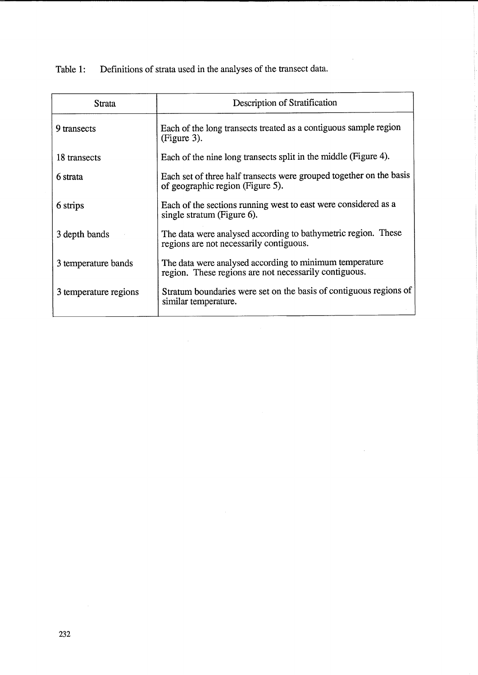Table 1: Definitions of strata used in the analyses of the transect data.

 $\sim$ 

| Strata                | Description of Stratification                                                                                    |
|-----------------------|------------------------------------------------------------------------------------------------------------------|
| 9 transects           | Each of the long transects treated as a contiguous sample region<br>(Figure 3).                                  |
| 18 transects          | Each of the nine long transects split in the middle (Figure 4).                                                  |
| 6 strata              | Each set of three half transects were grouped together on the basis<br>of geographic region (Figure 5).          |
| 6 strips              | Each of the sections running west to east were considered as a<br>single stratum (Figure 6).                     |
| 3 depth bands         | The data were analysed according to bathymetric region. These<br>regions are not necessarily contiguous.         |
| 3 temperature bands   | The data were analysed according to minimum temperature<br>region. These regions are not necessarily contiguous. |
| 3 temperature regions | Stratum boundaries were set on the basis of contiguous regions of<br>similar temperature.                        |

 $\sim$ 

 $\hat{\mathcal{A}}$ 

 $\sim$   $\sim$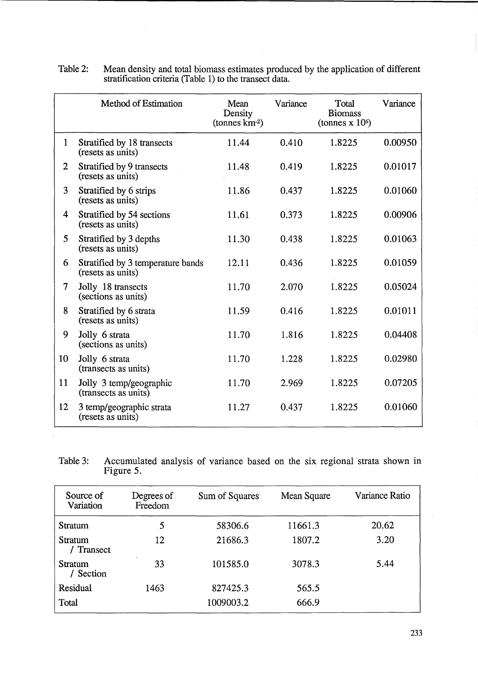|                   | Method of Estimation                                   | Mean<br>Density<br>$(\text{tonnes km}^2)$ | Variance | Total<br><b>Biomass</b><br>(tonnes $x 106$ ) | Variance |
|-------------------|--------------------------------------------------------|-------------------------------------------|----------|----------------------------------------------|----------|
| $\mathbf{1}$      | Stratified by 18 transects<br>(resets as units)        | 11.44                                     | 0.410    | 1.8225                                       | 0.00950  |
| $\overline{2}$    | Stratified by 9 transects<br>(resets as units)         | 11.48                                     | 0.419    | 1.8225                                       | 0.01017  |
| 3                 | Stratified by 6 strips<br>(resets as units)            | 11.86                                     | 0.437    | 1.8225                                       | 0.01060  |
| 4                 | Stratified by 54 sections<br>(resets as units)         | 11.61                                     | 0.373    | 1.8225                                       | 0.00906  |
| 5                 | Stratified by 3 depths<br>(resets as units)            | 11.30                                     | 0.438    | 1.8225                                       | 0.01063  |
| 6                 | Stratified by 3 temperature bands<br>(resets as units) | 12.11                                     | 0.436    | 1.8225                                       | 0.01059  |
| $\overline{\tau}$ | Jolly 18 transects<br>(sections as units)              | 11.70                                     | 2.070    | 1.8225                                       | 0.05024  |
| 8                 | Stratified by 6 strata<br>(resets as units)            | 11.59                                     | 0.416    | 1.8225                                       | 0.01011  |
| 9                 | Jolly 6 strata<br>(sections as units)                  | 11.70                                     | 1.816    | 1.8225                                       | 0.04408  |
| 10                | Jolly 6 strata<br>(transects as units)                 | 11.70                                     | 1.228    | 1.8225                                       | 0.02980  |
| 11                | Jolly 3 temp/geographic<br>(transects as units)        | 11.70                                     | 2.969    | 1.8225                                       | 0.07205  |
| 12                | 3 temp/geographic strata<br>(resets as units)          | 11.27                                     | 0.437    | 1.8225                                       | 0.01060  |

| Table 2: | Mean density and total biomass estimates produced by the application of different |
|----------|-----------------------------------------------------------------------------------|
|          | stratification criteria (Table 1) to the transect data.                           |

 $\sim$ 

Table 3: Accumulated analysis of variance based on the six regional strata shown in Figure 5.

| Source of<br>Variation     | Degrees of<br>Freedom | Sum of Squares    | Mean Square | Variance Ratio |  |
|----------------------------|-----------------------|-------------------|-------------|----------------|--|
| Stratum                    | 5                     | 58306.6           | 11661.3     | 20.62          |  |
| Stratum<br>Transect        | 12                    | 21686.3<br>1807.2 |             | 3.20           |  |
| 33<br>Stratum<br>/ Section |                       | 101585.0          | 3078.3      | 5.44           |  |
| Residual                   | 1463                  | 827425.3          | 565.5       |                |  |
| Total                      |                       | 1009003.2         | 666.9       |                |  |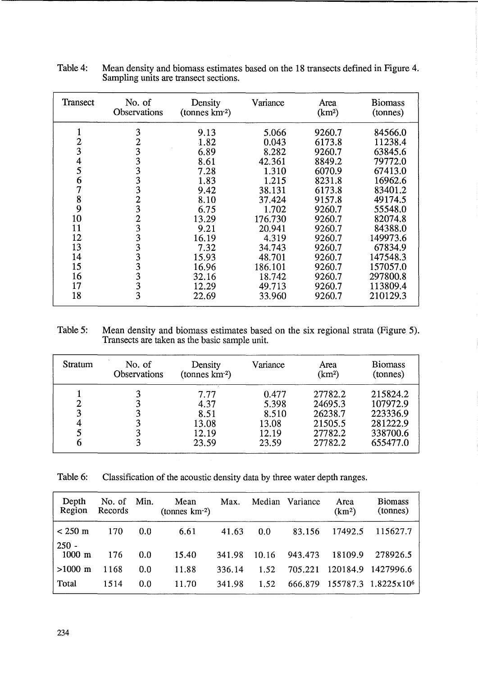| Transect       | No. of<br>Density<br><b>Observations</b><br>$(\text{tonnes km}^2)$ |       | Variance | Area<br>(km <sup>2</sup> ) | <b>Biomass</b><br>(tonnes) |
|----------------|--------------------------------------------------------------------|-------|----------|----------------------------|----------------------------|
| 1              | 3                                                                  | 9.13  | 5.066    | 9260.7                     | 84566.0                    |
| $\overline{c}$ | $\overline{2}$                                                     | 1.82  | 0.043    | 6173.8                     | 11238.4                    |
| 3              | 3                                                                  | 6.89  | 8.282    | 9260.7                     | 63845.6                    |
| 4              | 3                                                                  | 8.61  | 42.361   | 8849.2                     | 79772.0                    |
| 5              | 3                                                                  | 7.28  | 1.310    | 6070.9                     | 67413.0                    |
| 6              | 3                                                                  | 1.83  | 1.215    | 8231.8                     | 16962.6                    |
| 7              | 3                                                                  | 9.42  | 38.131   | 6173.8                     | 83401.2                    |
| 8              | 2                                                                  | 8.10  | 37.424   | 9157.8                     | 49174.5                    |
| 9              | 3                                                                  | 6.75  | 1.702    | 9260.7                     | 55548.0                    |
| 10             | 2                                                                  | 13.29 | 176.730  | 9260.7                     | 82074.8                    |
| 11             | 3                                                                  | 9.21  | 20.941   | 9260.7                     | 84388.0                    |
| 12             | 3                                                                  | 16.19 | 4.319    | 9260.7                     | 149973.6                   |
| 13             | 3                                                                  | 7.32  | 34.743   | 9260.7                     | 67834.9                    |
| 14             | 3                                                                  | 15.93 | 48.701   | 9260.7                     | 147548.3                   |
| 15             | 3                                                                  | 16.96 | 186.101  | 9260.7                     | 157057.0                   |
| 16             | 3                                                                  | 32.16 | 18.742   | 9260.7                     | 297800.8                   |
| 17             | 3                                                                  | 12.29 | 49.713   | 9260.7                     | 113809.4                   |
| 18             | 3                                                                  | 22.69 | 33.960   | 9260.7                     | 210129.3                   |

Table 4: Mean density and biomass estimates based on the 18 transects defined in Figure 4. Sampling units are transect sections.

Table 5: Mean density and biomass estimates based on the six regional strata (Figure 5). Transects are taken as the basic sample unit.

| Stratum | No. of<br><b>Observations</b> | Density<br>(tonnes km <sup>-2</sup> )           | Variance                                           | Area<br>(km <sup>2</sup> )                                     | <b>Biomass</b><br>(tonnes)                                           |
|---------|-------------------------------|-------------------------------------------------|----------------------------------------------------|----------------------------------------------------------------|----------------------------------------------------------------------|
|         |                               | 7.77<br>4.37<br>8.51<br>13.08<br>12.19<br>23.59 | 0.477<br>5.398<br>8.510<br>13.08<br>12.19<br>23.59 | 27782.2<br>24695.3<br>26238.7<br>21505.5<br>27782.2<br>27782.2 | 215824.2<br>107972.9<br>223336.9<br>281222.9<br>338700.6<br>655477.0 |

Table 6: Classification of the acoustic density data by three water depth ranges.

| Depth<br>Region             | No. of Min.<br>Records |     | Mean<br>(tonnes $km^{-2}$ ) | Max.   |       | Median Variance | Area<br>(km <sup>2</sup> ) | <b>Biomass</b><br>(tonnes)      |
|-----------------------------|------------------------|-----|-----------------------------|--------|-------|-----------------|----------------------------|---------------------------------|
| $< 250 \text{ m}$           | 170                    | 0.0 | 6.61                        | 41.63  | 0.0   | 83.156          | 17492.5                    | 115627.7                        |
| $250 -$<br>$1000 \text{ m}$ | 176                    | 0.0 | 15.40                       | 341.98 | 10.16 | 943.473         | 18109.9                    | 278926.5                        |
| $>1000 \; \mathrm{m}$       | 1168                   | 0.0 | 11.88                       | 336.14 | 1.52  |                 |                            | 705.221 120184.9 1427996.6      |
| Total                       | 1514                   | 0.0 | 11.70                       | 341.98 | 1.52  | 666.879         |                            | 155787.3 1.8225x10 <sup>6</sup> |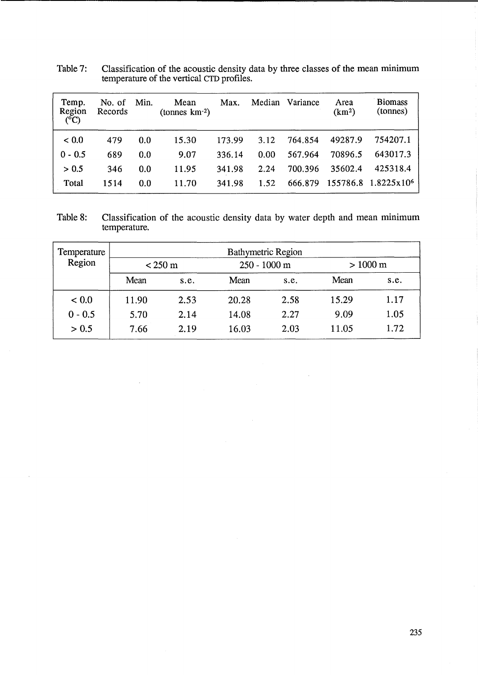| Temp.<br>Region<br>$(^{\circ}C)$ | No. of<br>Records | Min. | Mean<br>(tonnes $km^{-2}$ ) | Max.   | Median | Variance | Area<br>(km <sup>2</sup> ) | <b>Biomass</b><br>(tonnes) |
|----------------------------------|-------------------|------|-----------------------------|--------|--------|----------|----------------------------|----------------------------|
| ${}< 0.0$                        | 479               | 0.0  | 15.30                       | 173.99 | 3.12   | 764.854  | 49287.9                    | 754207.1                   |
| $0 - 0.5$                        | 689               | 0.0  | 9.07                        | 336.14 | 0.00   | 567.964  | 70896.5                    | 643017.3                   |
| > 0.5                            | 346               | 0.0  | 11.95                       | 341.98 | 2.24   | 700.396  | 35602.4                    | 425318.4                   |
| Total                            | 1514              | 0.0  | 11.70                       | 341.98 | 1.52   | 666.879  | 155786.8                   | 1.8225x10 <sup>6</sup>     |

Table 7: Classification of the acoustic density data by three classes of the mean minimum temperature of the vertical CTD profiles.

Table 8: Classification of the acoustic density data by water depth and mean minimum temperature.

| Temperature | <b>Bathymetric Region</b> |      |                |      |                    |      |  |  |  |  |
|-------------|---------------------------|------|----------------|------|--------------------|------|--|--|--|--|
| Region      | $<$ 250 m                 |      | $250 - 1000$ m |      | $> 1000 \text{ m}$ |      |  |  |  |  |
|             | Mean                      | s.e. | Mean           | s.e. | Mean               | s.e. |  |  |  |  |
| < 0.0       | 11.90                     | 2.53 | 20.28          | 2.58 | 15.29              | 1.17 |  |  |  |  |
| $0 - 0.5$   | 5.70                      | 2.14 | 14.08          | 2.27 | 9.09               | 1.05 |  |  |  |  |
| > 0.5       | 7.66                      | 2.19 | 16.03          | 2.03 | 11.05              | 1.72 |  |  |  |  |

 $\overline{\phantom{a}}$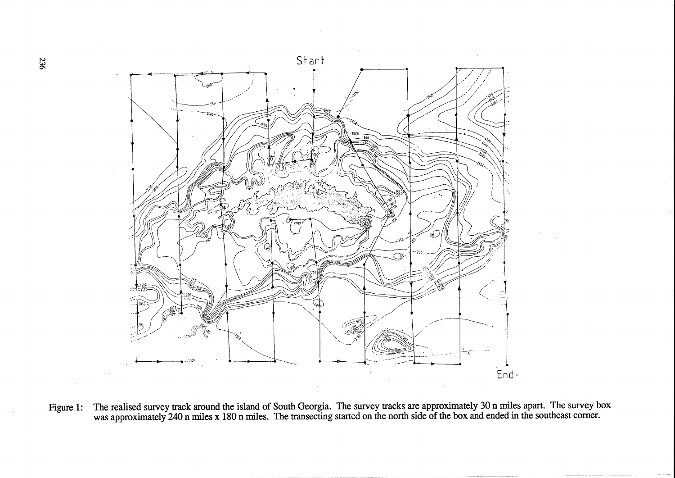

Figure 1: The realised survey track around the island of South Georgia. The survey tracks are approximately 30 n miles apart. The survey box was approximately 240 n miles x 180 n miles. The transecting started on the north side of the box and ended in the southeast corner.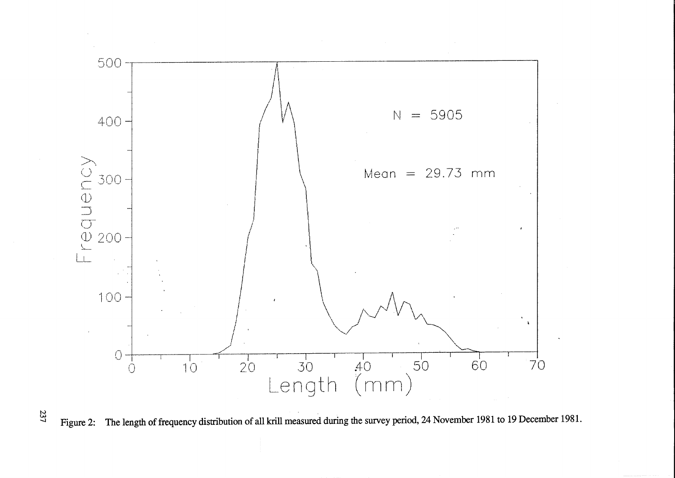

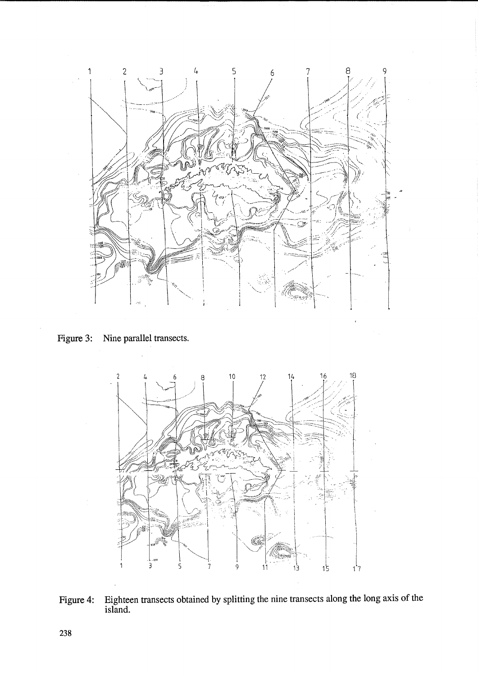

**Figure 3: Nine parallel transects.** 



**Figure 4: Eighteen transects obtained by splitting the nine transects along the long axis of the island.**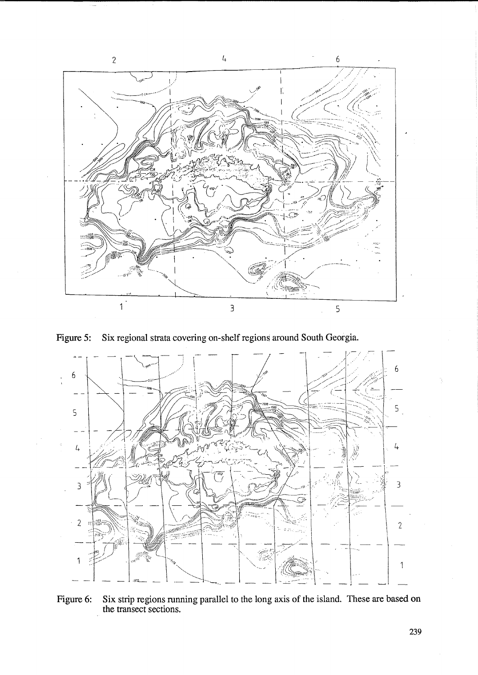

Figure 5: Six regional strata covering on-shelf regions around South Georgia.



Figure 6: Six strip regions running parallel to the long axis of the island. These are based on the transect sections.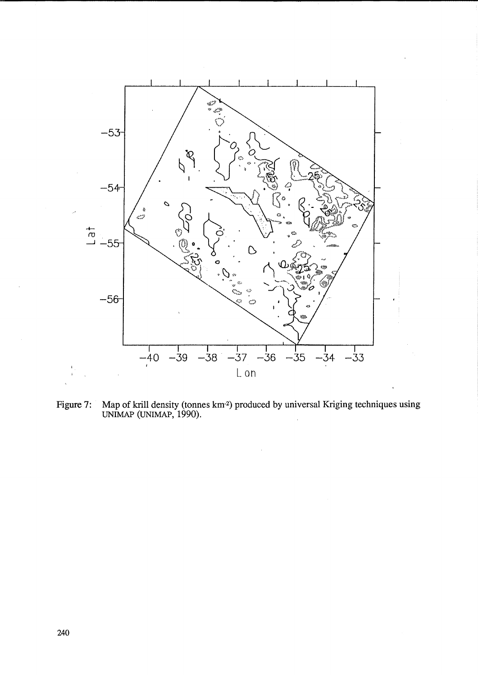![](_page_15_Figure_0.jpeg)

Figure 7: Map of krill density (tonnes km<sup>2</sup>) produced by universal Kriging techniques using UNIMAP (UNIMAP, 1990).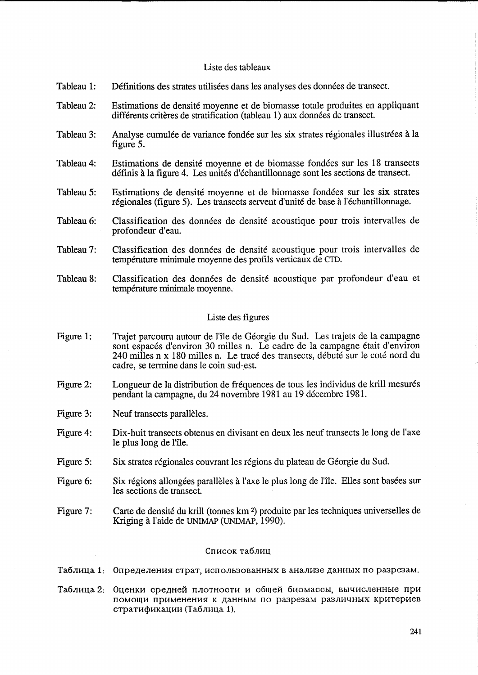## Liste des tableaux

- Tableau 1: Définitions des strates utilisées dans les analyses des données de transect.
- Tableau 2: Estimations de densité moyenne et de biomasse totale produites en appliquant différents critères de stratification (tableau 1) aux données de transect.
- Tableau 3: Analyse cumulée de variance fondée sur les six strates régionales illustrées à la figure 5.
- Tableau 4: Estimations de densite moyenne et de biomasse fondees sur les 18 transects définis à la figure 4. Les unités d'échantillonnage sont les sections de transect.
- Tableau 5: Estimations de den sité moyenne et de biomasse fondées sur les six strates régionales (figure 5). Les transects servent d'unité de base à l'échantillonnage.
- Tableau 6: Classification des donnees de densite acoustique pour trois intervalles de profondeur d'eau.
- Tableau 7: Classification des donnees de densite acoustique pour trois intervalles de temperature minimale moyenne des profils verticaux de CTD.
- Tableau 8: Classification des données de densité acoustique par profondeur d'eau et température minimale moyenne.

## Liste des figures

- Figure 1: Trajet parcouru autour de l'lle de Georgie du Sud. Les trajets de la campagne sont espacés d'environ 30 milles n. Le cadre de la campagne était d'environ 240 milles n x 180 milles n. Le trace des transects, debute sur le cote nord du cadre, se termine dans le coin sud-est.
- Figure 2: Longueur de la distribution de fréquences de tous les individus de krill mesurés pendant la campagne, du 24 novembre 1981 au 19 decembre 1981.
- Figure 3: Neuf transects parallèles.
- Figure 4: Dix-huit transects obtenus en divisant en deux les neuf transects le long de l'axe le plus long de l'île.
- Figure 5: Six strates régionales couvrant les régions du plateau de Géorgie du Sud.
- Figure 6: Six régions allongées parallèles à l'axe le plus long de l'île. Elles sont basées sur les sections de transect.
- Figure 7: Carte de densité du krill (tonnes km<sup>-2</sup>) produite par les techniques universelles de Kriging a l'aide de UNIMAP (UNlMAP, 1990).

## Список таблиц

Таблица 1: Определения страт, использованных в анализе данных по разрезам.

Таблица 2: Оценки средней плотности и общей биомассы, вычисленные при помощи применения к данным по разрезам различных критериев стратификации (Таблица 1).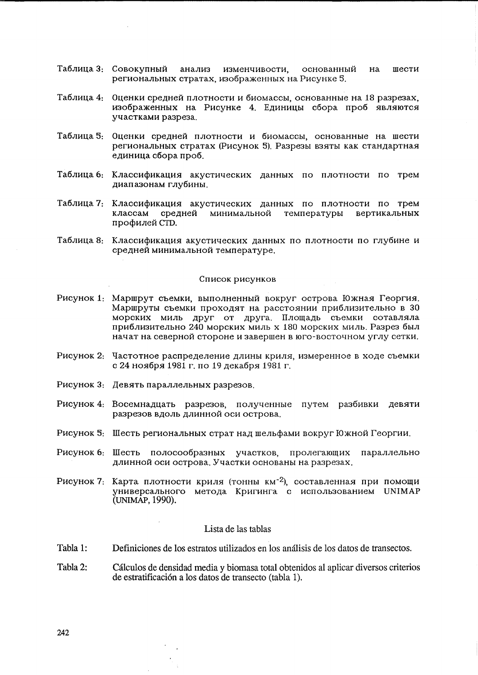- Таблица 3: Совокупный анализ изменчивости. основанный  $H\mathbf{a}$ шести региональных стратах, изображенных на Рисунке 5.
- Таблица 4: Оценки средней плотности и биомассы, основанные на 18 разрезах, изображенных на Рисунке 4. Единицы сбора проб являются участками разреза.
- Таблица 5: Оценки средней плотности и биомассы, основанные на шести региональных стратах (Рисунок 5). Разрезы взяты как стандартная единица сбора проб.
- Таблица 6: Классификация акустических данных по плотности по трем диапазонам глубины.
- Таблица 7: Классификация акустических данных по плотности по трем классам средней минимальной температуры вертикальных профилей СТD.
- Таблица 8: Классификация акустических данных по плотности по глубине и средней минимальной температуре.

#### Список рисунков

- Рисунок 1: Маршрут съемки, выполненный вокруг острова Южная Георгия. Маршруты съемки проходят на расстоянии приблизительно в 30 морских миль друг от друга. Площадь съемки сотавляла приблизительно 240 морских миль х 180 морских миль. Разрез был начат на северной стороне и завершен в юго-восточном углу сетки.
- Рисунок 2. Частотное распределение длины криля, измеренное в ходе съемки с 24 ноября 1981 г. по 19 декабря 1981 г.
- Рисунок 3: Девять параллельных разрезов.
- Рисунок 4: Восемнадцать разрезов, полученные путем разбивки девяти разрезов вдоль длинной оси острова.
- Рисунок 5. Шесть региональных страт над шельфами вокруг Южной Георгии.
- Рисунок 6: Шесть полосообразных участков, пролегающих параллельно длинной оси острова. Участки основаны на разрезах.
- Рисунок 7: Карта плотности криля (тонны км<sup>-2</sup>), составленная при помощи универсального метода Кригинга с использованием UNIMAP (UNIMAP, 1990).

#### Lista de las tablas

- Tabla 1: Definiciones de los estratos utilizados en los análisis de los datos de transectos.
- Tabla 2: Cálculos de densidad media y biomasa total obtenidos al aplicar diversos criterios de estratificación a los datos de transecto (tabla 1).